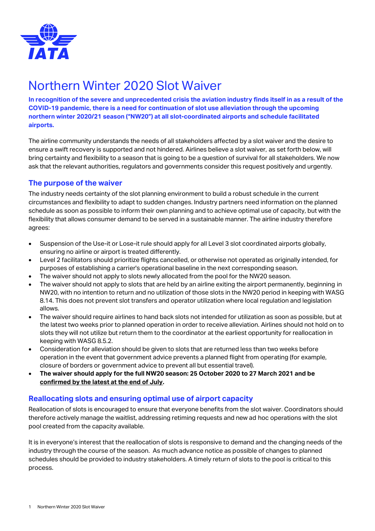

## Northern Winter 2020 Slot Waiver

**In recognition of the severe and unprecedented crisis the aviation industry finds itself in as a result of the COVID-19 pandemic, there is a need for continuation of slot use alleviation through the upcoming northern winter 2020/21 season ("NW20") at all slot-coordinated airports and schedule facilitated airports.** 

The airline community understands the needs of all stakeholders affected by a slot waiver and the desire to ensure a swift recovery is supported and not hindered. Airlines believe a slot waiver, as set forth below, will bring certainty and flexibility to a season that is going to be a question of survival for all stakeholders. We now ask that the relevant authorities, regulators and governments consider this request positively and urgently.

## **The purpose of the waiver**

The industry needs certainty of the slot planning environment to build a robust schedule in the current circumstances and flexibility to adapt to sudden changes. Industry partners need information on the planned schedule as soon as possible to inform their own planning and to achieve optimal use of capacity, but with the flexibility that allows consumer demand to be served in a sustainable manner. The airline industry therefore agrees:

- Suspension of the Use-it or Lose-it rule should apply for all Level 3 slot coordinated airports globally, ensuring no airline or airport is treated differently.
- Level 2 facilitators should prioritize flights cancelled, or otherwise not operated as originally intended, for purposes of establishing a carrier's operational baseline in the next corresponding season.
- The waiver should not apply to slots newly allocated from the pool for the NW20 season.
- The waiver should not apply to slots that are held by an airline exiting the airport permanently, beginning in NW20, with no intention to return and no utilization of those slots in the NW20 period in keeping with WASG 8.14. This does not prevent slot transfers and operator utilization where local regulation and legislation allows.
- The waiver should require airlines to hand back slots not intended for utilization as soon as possible, but at the latest two weeks prior to planned operation in order to receive alleviation. Airlines should not hold on to slots they will not utilize but return them to the coordinator at the earliest opportunity for reallocation in keeping with WASG 8.5.2.
- Consideration for alleviation should be given to slots that are returned less than two weeks before operation in the event that government advice prevents a planned flight from operating (for example, closure of borders or government advice to prevent all but essential travel).
- **The waiver should apply for the full NW20 season: 25 October 2020 to 27 March 2021 and be confirmed by the latest at the end of July.**

## **Reallocating slots and ensuring optimal use of airport capacity**

Reallocation of slots is encouraged to ensure that everyone benefits from the slot waiver. Coordinators should therefore actively manage the waitlist, addressing retiming requests and new ad hoc operations with the slot pool created from the capacity available.

It is in everyone's interest that the reallocation of slots is responsive to demand and the changing needs of the industry through the course of the season. As much advance notice as possible of changes to planned schedules should be provided to industry stakeholders. A timely return of slots to the pool is critical to this process.